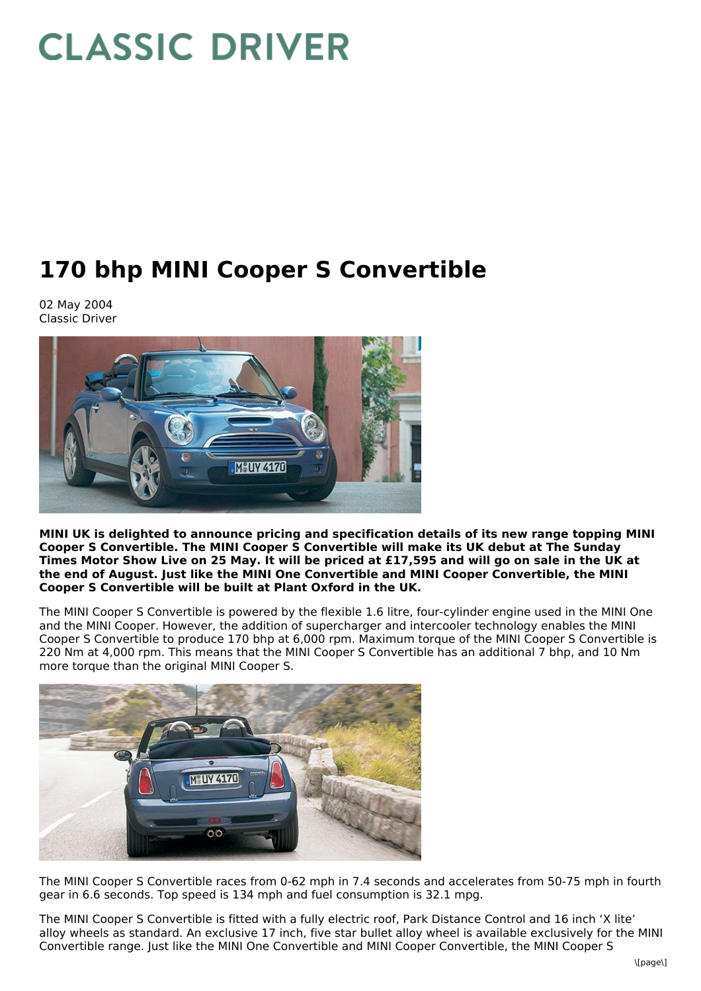# **CLASSIC DRIVER**

# **170 bhp MINI Cooper S Convertible**

02 May 2004 Classic Driver



**MINI UK is delighted to announce pricing and specification details of its new range topping MINI Cooper S Convertible. The MINI Cooper S Convertible will make its UK debut at The Sunday** Times Motor Show Live on 25 May. It will be priced at £17,595 and will go on sale in the UK at **the end of August. Just like the MINI One Convertible and MINI Cooper Convertible, the MINI Cooper S Convertible will be built at Plant Oxford in the UK.**

The MINI Cooper S Convertible is powered by the flexible 1.6 litre, four-cylinder engine used in the MINI One and the MINI Cooper. However, the addition of supercharger and intercooler technology enables the MINI Cooper S Convertible to produce 170 bhp at 6,000 rpm. Maximum torque of the MINI Cooper S Convertible is 220 Nm at 4,000 rpm. This means that the MINI Cooper S Convertible has an additional 7 bhp, and 10 Nm more torque than the original MINI Cooper S.



The MINI Cooper S Convertible races from 0-62 mph in 7.4 seconds and accelerates from 50-75 mph in fourth gear in 6.6 seconds. Top speed is 134 mph and fuel consumption is 32.1 mpg.

The MINI Cooper S Convertible is fitted with a fully electric roof, Park Distance Control and 16 inch 'X lite' alloy wheels as standard. An exclusive 17 inch, five star bullet alloy wheel is available exclusively for the MINI Convertible range. Just like the MINI One Convertible and MINI Cooper Convertible, the MINI Cooper S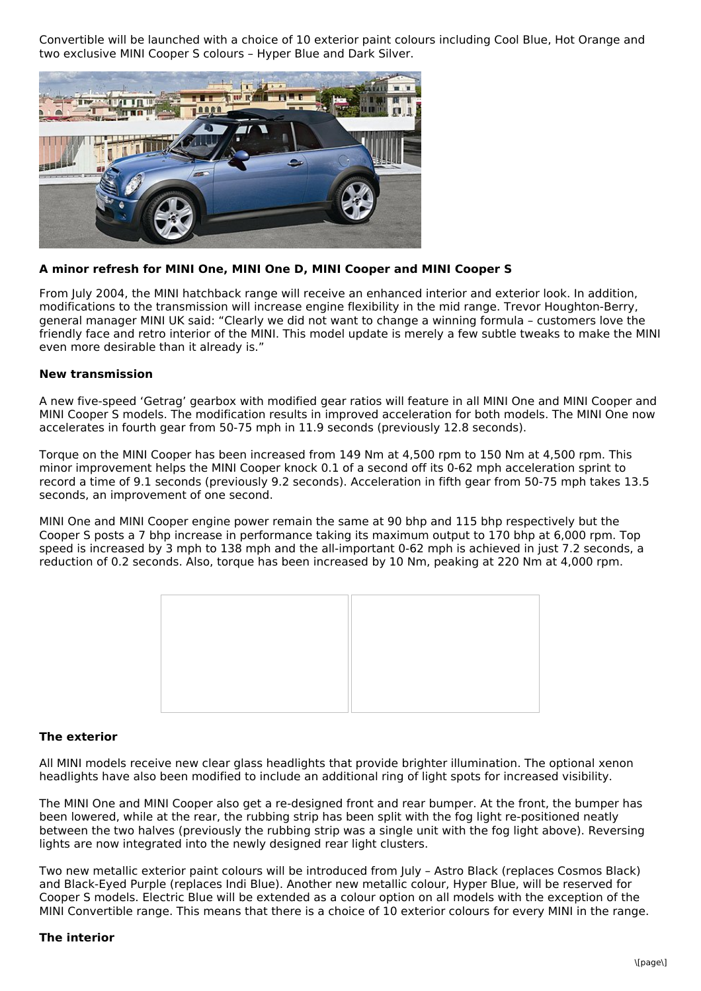Convertible will be launched with a choice of 10 exterior paint colours including Cool Blue, Hot Orange and two exclusive MINI Cooper S colours – Hyper Blue and Dark Silver.



## **A minor refresh for MINI One, MINI One D, MINI Cooper and MINI Cooper S**

From July 2004, the MINI hatchback range will receive an enhanced interior and exterior look. In addition, modifications to the transmission will increase engine flexibility in the mid range. Trevor Houghton-Berry, general manager MINI UK said: "Clearly we did not want to change a winning formula – customers love the friendly face and retro interior of the MINI. This model update is merely a few subtle tweaks to make the MINI even more desirable than it already is."

#### **New transmission**

A new five-speed 'Getrag' gearbox with modified gear ratios will feature in all MINI One and MINI Cooper and MINI Cooper S models. The modification results in improved acceleration for both models. The MINI One now accelerates in fourth gear from 50-75 mph in 11.9 seconds (previously 12.8 seconds).

Torque on the MINI Cooper has been increased from 149 Nm at 4,500 rpm to 150 Nm at 4,500 rpm. This minor improvement helps the MINI Cooper knock 0.1 of a second off its 0-62 mph acceleration sprint to record a time of 9.1 seconds (previously 9.2 seconds). Acceleration in fifth gear from 50-75 mph takes 13.5 seconds, an improvement of one second.

MINI One and MINI Cooper engine power remain the same at 90 bhp and 115 bhp respectively but the Cooper S posts a 7 bhp increase in performance taking its maximum output to 170 bhp at 6,000 rpm. Top speed is increased by 3 mph to 138 mph and the all-important 0-62 mph is achieved in just 7.2 seconds, a reduction of 0.2 seconds. Also, torque has been increased by 10 Nm, peaking at 220 Nm at 4,000 rpm.



#### **The exterior**

All MINI models receive new clear glass headlights that provide brighter illumination. The optional xenon headlights have also been modified to include an additional ring of light spots for increased visibility.

The MINI One and MINI Cooper also get a re-designed front and rear bumper. At the front, the bumper has been lowered, while at the rear, the rubbing strip has been split with the fog light re-positioned neatly between the two halves (previously the rubbing strip was a single unit with the fog light above). Reversing lights are now integrated into the newly designed rear light clusters.

Two new metallic exterior paint colours will be introduced from July – Astro Black (replaces Cosmos Black) and Black-Eyed Purple (replaces Indi Blue). Another new metallic colour, Hyper Blue, will be reserved for Cooper S models. Electric Blue will be extended as a colour option on all models with the exception of the MINI Convertible range. This means that there is a choice of 10 exterior colours for every MINI in the range.

#### **The interior**